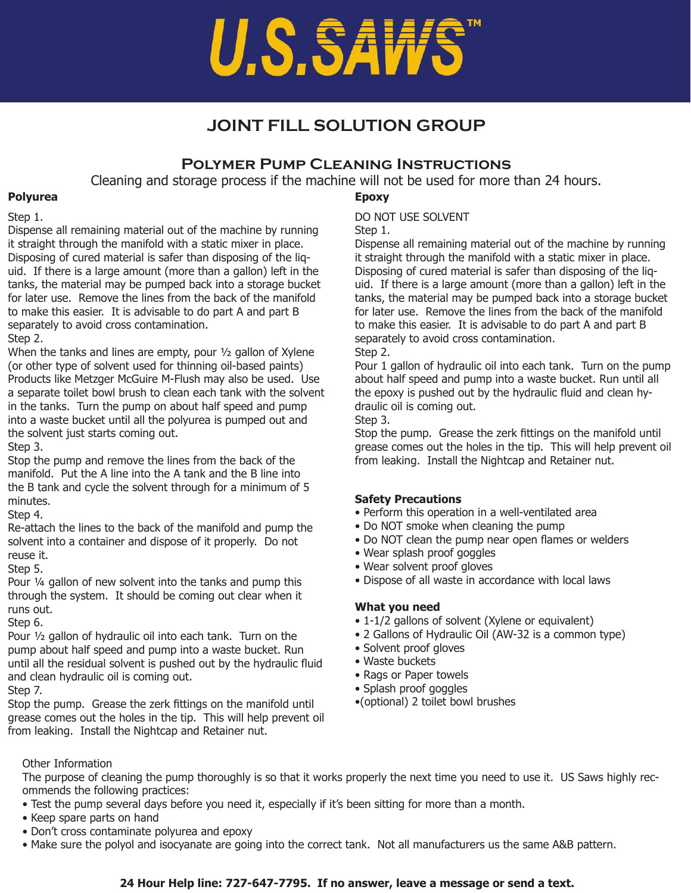# U.S.SAWS

# **JOINT FILL SOLUTION GROUP**

# **Polymer Pump Cleaning Instructions**

Cleaning and storage process if the machine will not be used for more than 24 hours.

#### **Polyurea**

#### Step 1.

Dispense all remaining material out of the machine by running it straight through the manifold with a static mixer in place. Disposing of cured material is safer than disposing of the liquid. If there is a large amount (more than a gallon) left in the tanks, the material may be pumped back into a storage bucket for later use. Remove the lines from the back of the manifold to make this easier. It is advisable to do part A and part B separately to avoid cross contamination. Step 2.

When the tanks and lines are empty, pour 1/2 gallon of Xylene (or other type of solvent used for thinning oil-based paints) Products like Metzger McGuire M-Flush may also be used. Use a separate toilet bowl brush to clean each tank with the solvent in the tanks. Turn the pump on about half speed and pump into a waste bucket until all the polyurea is pumped out and the solvent just starts coming out.

Step 3.

Stop the pump and remove the lines from the back of the manifold. Put the A line into the A tank and the B line into the B tank and cycle the solvent through for a minimum of 5 minutes.

Step 4.

Re-attach the lines to the back of the manifold and pump the solvent into a container and dispose of it properly. Do not reuse it.

Step 5.

Pour ¼ gallon of new solvent into the tanks and pump this through the system. It should be coming out clear when it runs out.

Step 6.

Pour ½ gallon of hydraulic oil into each tank. Turn on the pump about half speed and pump into a waste bucket. Run until all the residual solvent is pushed out by the hydraulic fluid and clean hydraulic oil is coming out.

Step 7.

Stop the pump. Grease the zerk fittings on the manifold until grease comes out the holes in the tip. This will help prevent oil from leaking. Install the Nightcap and Retainer nut.

### **Epoxy**

DO NOT USE SOLVENT

Step 1.

Dispense all remaining material out of the machine by running it straight through the manifold with a static mixer in place. Disposing of cured material is safer than disposing of the liquid. If there is a large amount (more than a gallon) left in the tanks, the material may be pumped back into a storage bucket for later use. Remove the lines from the back of the manifold to make this easier. It is advisable to do part A and part B separately to avoid cross contamination.

Step 2.

Pour 1 gallon of hydraulic oil into each tank. Turn on the pump about half speed and pump into a waste bucket. Run until all the epoxy is pushed out by the hydraulic fluid and clean hydraulic oil is coming out.

Step 3.

Stop the pump. Grease the zerk fittings on the manifold until grease comes out the holes in the tip. This will help prevent oil from leaking. Install the Nightcap and Retainer nut.

# **Safety Precautions**

- Perform this operation in a well-ventilated area
- Do NOT smoke when cleaning the pump
- Do NOT clean the pump near open flames or welders
- Wear splash proof goggles
- Wear solvent proof gloves
- Dispose of all waste in accordance with local laws

# **What you need**

- 1-1/2 gallons of solvent (Xylene or equivalent)
- 2 Gallons of Hydraulic Oil (AW-32 is a common type)
- Solvent proof gloves
- Waste buckets
- Rags or Paper towels
- Splash proof goggles
- •(optional) 2 toilet bowl brushes

Other Information

The purpose of cleaning the pump thoroughly is so that it works properly the next time you need to use it. US Saws highly recommends the following practices:

- Test the pump several days before you need it, especially if it's been sitting for more than a month.
- Keep spare parts on hand
- Don't cross contaminate polyurea and epoxy
- Make sure the polyol and isocyanate are going into the correct tank. Not all manufacturers us the same A&B pattern.

# **24 Hour Help line: 727-647-7795. If no answer, leave a message or send a text.**